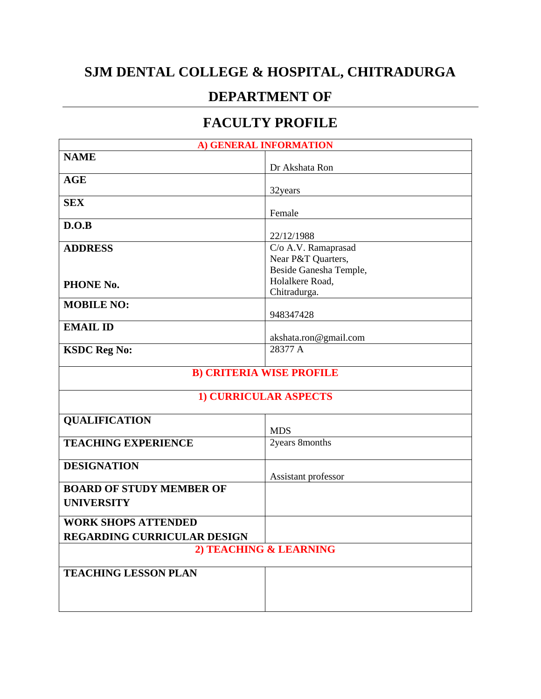## **SJM DENTAL COLLEGE & HOSPITAL, CHITRADURGA**

## **DEPARTMENT OF**

## **FACULTY PROFILE**

| A) GENERAL INFORMATION          |                                           |  |
|---------------------------------|-------------------------------------------|--|
| <b>NAME</b>                     |                                           |  |
|                                 | Dr Akshata Ron                            |  |
| <b>AGE</b>                      |                                           |  |
|                                 | 32years                                   |  |
| <b>SEX</b>                      |                                           |  |
|                                 | Female                                    |  |
| D.O.B                           |                                           |  |
|                                 | 22/12/1988                                |  |
| <b>ADDRESS</b>                  | C/o A.V. Ramaprasad                       |  |
|                                 | Near P&T Quarters,                        |  |
|                                 | Beside Ganesha Temple,<br>Holalkere Road, |  |
| PHONE No.                       | Chitradurga.                              |  |
| <b>MOBILE NO:</b>               |                                           |  |
|                                 | 948347428                                 |  |
| <b>EMAIL ID</b>                 |                                           |  |
|                                 | akshata.ron@gmail.com                     |  |
| <b>KSDC Reg No:</b>             | 28377 A                                   |  |
|                                 |                                           |  |
| <b>B) CRITERIA WISE PROFILE</b> |                                           |  |
| <b>1) CURRICULAR ASPECTS</b>    |                                           |  |
| <b>QUALIFICATION</b>            |                                           |  |
|                                 | <b>MDS</b>                                |  |
| <b>TEACHING EXPERIENCE</b>      | 2years 8months                            |  |
|                                 |                                           |  |
| <b>DESIGNATION</b>              |                                           |  |
|                                 | Assistant professor                       |  |
| <b>BOARD OF STUDY MEMBER OF</b> |                                           |  |
| <b>UNIVERSITY</b>               |                                           |  |
| <b>WORK SHOPS ATTENDED</b>      |                                           |  |
| REGARDING CURRICULAR DESIGN     |                                           |  |
| 2) TEACHING & LEARNING          |                                           |  |
| <b>TEACHING LESSON PLAN</b>     |                                           |  |
|                                 |                                           |  |
|                                 |                                           |  |
|                                 |                                           |  |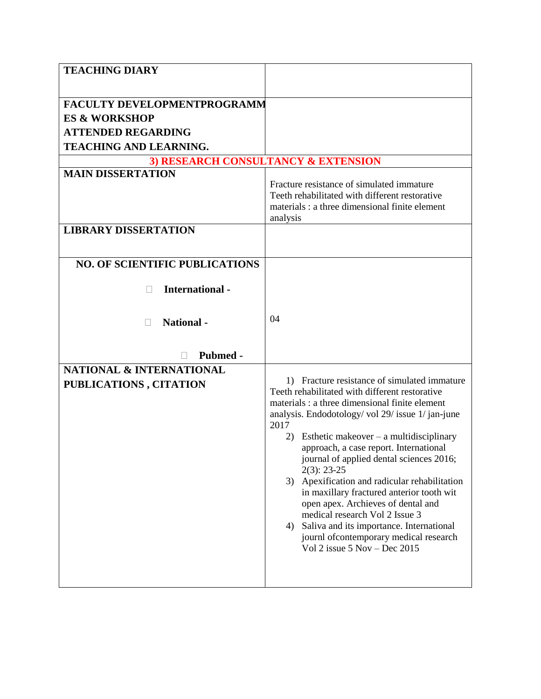| <b>TEACHING DIARY</b>                 |                                                                           |  |
|---------------------------------------|---------------------------------------------------------------------------|--|
|                                       |                                                                           |  |
| FACULTY DEVELOPMENTPROGRAMM           |                                                                           |  |
| <b>ES &amp; WORKSHOP</b>              |                                                                           |  |
| <b>ATTENDED REGARDING</b>             |                                                                           |  |
| <b>TEACHING AND LEARNING.</b>         |                                                                           |  |
| 3) RESEARCH CONSULTANCY & EXTENSION   |                                                                           |  |
| <b>MAIN DISSERTATION</b>              |                                                                           |  |
|                                       | Fracture resistance of simulated immature                                 |  |
|                                       | Teeth rehabilitated with different restorative                            |  |
|                                       | materials : a three dimensional finite element                            |  |
|                                       | analysis                                                                  |  |
| <b>LIBRARY DISSERTATION</b>           |                                                                           |  |
|                                       |                                                                           |  |
| <b>NO. OF SCIENTIFIC PUBLICATIONS</b> |                                                                           |  |
|                                       |                                                                           |  |
| <b>International</b> -<br>Ш           |                                                                           |  |
|                                       |                                                                           |  |
|                                       |                                                                           |  |
| <b>National</b> -                     | 04                                                                        |  |
|                                       |                                                                           |  |
| Pubmed -                              |                                                                           |  |
| <b>NATIONAL &amp; INTERNATIONAL</b>   |                                                                           |  |
|                                       | 1) Fracture resistance of simulated immature                              |  |
| PUBLICATIONS, CITATION                | Teeth rehabilitated with different restorative                            |  |
|                                       | materials : a three dimensional finite element                            |  |
|                                       | analysis. Endodotology/vol 29/issue 1/jan-june                            |  |
|                                       | 2017                                                                      |  |
|                                       | 2)<br>Esthetic makeover $-$ a multidisciplinary                           |  |
|                                       | approach, a case report. International                                    |  |
|                                       | journal of applied dental sciences 2016;<br>$2(3): 23-25$                 |  |
|                                       | 3) Apexification and radicular rehabilitation                             |  |
|                                       | in maxillary fractured anterior tooth wit                                 |  |
|                                       | open apex. Archieves of dental and                                        |  |
|                                       | medical research Vol 2 Issue 3                                            |  |
|                                       | 4) Saliva and its importance. International                               |  |
|                                       | journl of contemporary medical research<br>Vol 2 issue $5$ Nov - Dec 2015 |  |
|                                       |                                                                           |  |
|                                       |                                                                           |  |
|                                       |                                                                           |  |